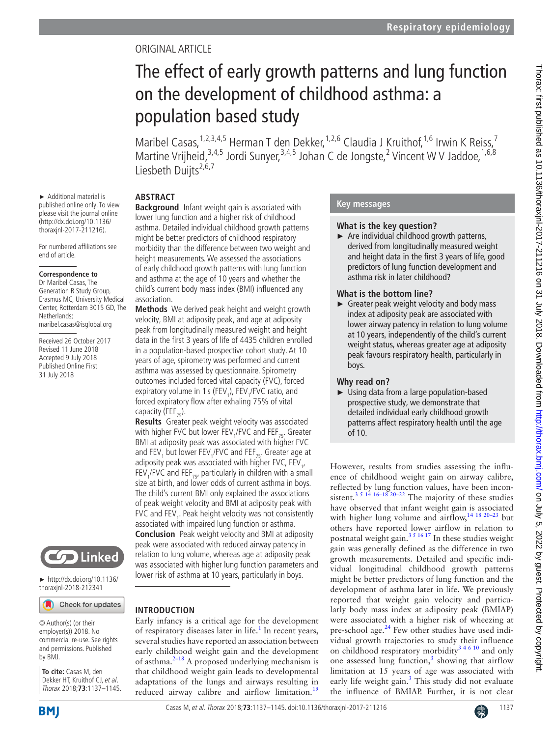# Original article

# The effect of early growth patterns and lung function on the development of childhood asthma: a population based study

Maribel Casas,<sup>1,2,3,4,5</sup> Herman T den Dekker,<sup>1,2,6</sup> Claudia J Kruithof,<sup>1,6</sup> Irwin K Reiss,<sup>7</sup> Martine Vrijheid,<sup>3,4,5</sup> Jordi Sunyer,<sup>3,4,5</sup> Johan C de Jongste,<sup>2</sup> Vincent W V Jaddoe,<sup>1,6,8</sup> Liesbeth Duijts<sup>2,6,7</sup>

# **Abstract**

**Background** Infant weight gain is associated with lower lung function and a higher risk of childhood asthma. Detailed individual childhood growth patterns might be better predictors of childhood respiratory morbidity than the difference between two weight and height measurements. We assessed the associations of early childhood growth patterns with lung function and asthma at the age of 10 years and whether the child's current body mass index (BMI) influenced any association.

**Methods** We derived peak height and weight growth velocity, BMI at adiposity peak, and age at adiposity peak from longitudinally measured weight and height data in the first 3 years of life of 4435 children enrolled in a population-based prospective cohort study. At 10 years of age, spirometry was performed and current asthma was assessed by questionnaire. Spirometry outcomes included forced vital capacity (FVC), forced expiratory volume in 1s (FEV<sub>1</sub>), FEV<sub>1</sub>/FVC ratio, and forced expiratory flow after exhaling 75% of vital capacity (FEF<sub>75</sub>).

**Results** Greater peak weight velocity was associated with higher FVC but lower FEV<sub>1</sub>/FVC and FEF<sub>75</sub>. Greater BMI at adiposity peak was associated with higher FVC and FEV<sub>1</sub> but lower FEV<sub>1</sub>/FVC and FEF<sub>75</sub>. Greater age at adiposity peak was associated with higher FVC, FEV<sub>1</sub>, FEV<sub>1</sub>/FVC and FEF<sub>75</sub>, particularly in children with a small size at birth, and lower odds of current asthma in boys. The child's current BMI only explained the associations of peak weight velocity and BMI at adiposity peak with FVC and FEV<sub>1</sub>. Peak height velocity was not consistently associated with impaired lung function or asthma. **Conclusion** Peak weight velocity and BMI at adiposity peak were associated with reduced airway patency in relation to lung volume, whereas age at adiposity peak was associated with higher lung function parameters and lower risk of asthma at 10 years, particularly in boys.

# **Introduction**

Early infancy is a critical age for the development of respiratory diseases later in life.<sup>1</sup> In recent years, several studies have reported an association between early childhood weight gain and the development of asthma. $2-18$  A proposed underlying mechanism is that childhood weight gain leads to developmental adaptations of the lungs and airways resulting in reduced airway calibre and airflow limitation.<sup>[19](#page-7-2)</sup>

### **Key messages**

### **What is the key question?**

► Are individual childhood growth patterns, derived from longitudinally measured weight and height data in the first 3 years of life, good predictors of lung function development and asthma risk in later childhood?

## **What is the bottom line?**

 $\blacktriangleright$  Greater peak weight velocity and body mass index at adiposity peak are associated with lower airway patency in relation to lung volume at 10 years, independently of the child's current weight status, whereas greater age at adiposity peak favours respiratory health, particularly in boys.

# **Why read on?**

► Using data from a large population-based prospective study, we demonstrate that detailed individual early childhood growth patterns affect respiratory health until the age of 10.

However, results from studies assessing the influence of childhood weight gain on airway calibre, reflected by lung function values, have been inconsistent.<sup>3 5 14 16-18 20-22</sup> The majority of these studies have observed that infant weight gain is associated with higher lung volume and airflow,<sup>14 18 20-23</sup> but others have reported lower airflow in relation to postnatal weight gain. $351617$  In these studies weight gain was generally defined as the difference in two growth measurements. Detailed and specific individual longitudinal childhood growth patterns might be better predictors of lung function and the development of asthma later in life. We previously reported that weight gain velocity and particularly body mass index at adiposity peak (BMIAP) were associated with a higher risk of wheezing at pre-school age. $^{24}$  Few other studies have used individual growth trajectories to study their influence on childhood respiratory morbidity<sup>34610</sup> and only one assessed lung function, $3$  showing that airflow limitation at 15 years of age was associated with early life weight gain.<sup>3</sup> This study did not evaluate the influence of BMIAP. Further, it is not clear



► Additional material is published online only. To view please visit the journal online (http://dx.doi.org/10.1136/ thoraxjnl-2017-211216). For numbered affiliations see

end of article.

Netherlands;

**Correspondence to** Dr Maribel Casas, The Generation R Study Group, Erasmus MC, University Medical Center, Rotterdam 3015 GD, The

maribel.casas@isglobal.org Received 26 October 2017 Revised 11 June 2018 Accepted 9 July 2018 Published Online First 31 July 2018

► [http://dx.doi.org/10.1136/](http://dx.doi.org/10.1136/thoraxjnl-2018-212341) [thoraxjnl-2018-212341](http://dx.doi.org/10.1136/thoraxjnl-2018-212341)

Check for updates

© Author(s) (or their employer(s)) 2018. No commercial re-use. See rights and permissions. Published by BMJ.

**To cite:** Casas M, den Dekker HT, Kruithof CJ, et al. Thorax 2018;**73**:1137–1145.



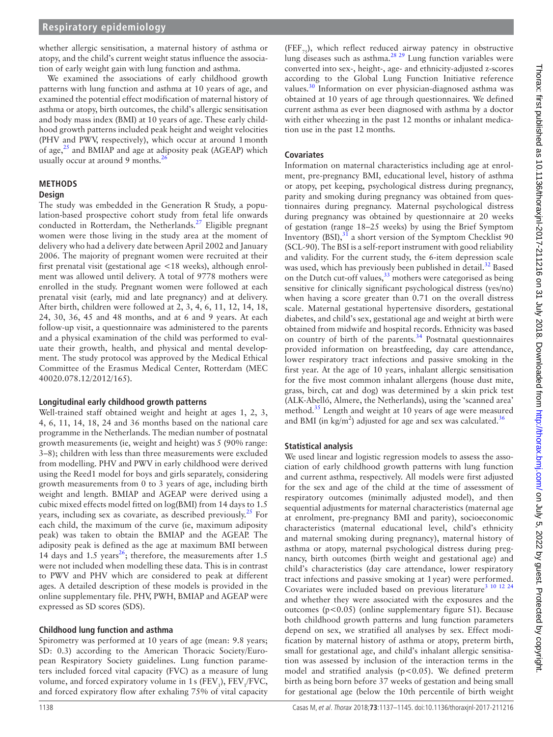### **Respiratory epidemiology**

whether allergic sensitisation, a maternal history of asthma or atopy, and the child's current weight status influence the association of early weight gain with lung function and asthma.

We examined the associations of early childhood growth patterns with lung function and asthma at 10 years of age, and examined the potential effect modification of maternal history of asthma or atopy, birth outcomes, the child's allergic sensitisation and body mass index (BMI) at 10 years of age. These early childhood growth patterns included peak height and weight velocities (PHV and PWV, respectively), which occur at around 1month of age, $25$  and BMIAP and age at adiposity peak (AGEAP) which usually occur at around 9 months. $^{2}$ 

### **Methods**

### **Design**

The study was embedded in the Generation R Study, a population-based prospective cohort study from fetal life onwards conducted in Rotterdam, the Netherlands.<sup>27</sup> Eligible pregnant women were those living in the study area at the moment of delivery who had a delivery date between April 2002 and January 2006. The majority of pregnant women were recruited at their first prenatal visit (gestational age <18 weeks), although enrolment was allowed until delivery. A total of 9778 mothers were enrolled in the study. Pregnant women were followed at each prenatal visit (early, mid and late pregnancy) and at delivery. After birth, children were followed at 2, 3, 4, 6, 11, 12, 14, 18, 24, 30, 36, 45 and 48 months, and at 6 and 9 years. At each follow-up visit, a questionnaire was administered to the parents and a physical examination of the child was performed to evaluate their growth, health, and physical and mental development. The study protocol was approved by the Medical Ethical Committee of the Erasmus Medical Center, Rotterdam (MEC 40020.078.12/2012/165).

### **Longitudinal early childhood growth patterns**

Well-trained staff obtained weight and height at ages 1, 2, 3, 4, 6, 11, 14, 18, 24 and 36 months based on the national care programme in the Netherlands. The median number of postnatal growth measurements (ie, weight and height) was 5 (90% range: 3–8); children with less than three measurements were excluded from modelling. PHV and PWV in early childhood were derived using the Reed1 model for boys and girls separately, considering growth measurements from 0 to 3 years of age, including birth weight and length. BMIAP and AGEAP were derived using a cubic mixed effects model fitted on log(BMI) from 14 days to 1.5 years, including sex as covariate, as described previously.<sup>25</sup> For each child, the maximum of the curve (ie, maximum adiposity peak) was taken to obtain the BMIAP and the AGEAP. The adiposity peak is defined as the age at maximum BMI between 14 days and 1.5 years<sup>26</sup>; therefore, the measurements after 1.5 were not included when modelling these data. This is in contrast to PWV and PHV which are considered to peak at different ages. A detailed description of these models is provided in the online [supplementary file](https://dx.doi.org/10.1136/thoraxjnl-2017-211216). PHV, PWH, BMIAP and AGEAP were expressed as SD scores (SDS).

### **Childhood lung function and asthma**

Spirometry was performed at 10 years of age (mean: 9.8 years; SD: 0.3) according to the American Thoracic Society/European Respiratory Society guidelines. Lung function parameters included forced vital capacity (FVC) as a measure of lung volume, and forced expiratory volume in 1s ( $\text{FEV}_1$ ),  $\text{FEV}_1/\text{FVC}$ , and forced expiratory flow after exhaling 75% of vital capacity

### **Covariates**

Information on maternal characteristics including age at enrolment, pre-pregnancy BMI, educational level, history of asthma or atopy, pet keeping, psychological distress during pregnancy, parity and smoking during pregnancy was obtained from questionnaires during pregnancy. Maternal psychological distress during pregnancy was obtained by questionnaire at 20 weeks of gestation (range 18–25 weeks) by using the Brief Symptom Inventory  $(BSI)$ ,  $31$  a short version of the Symptom Checklist 90 (SCL-90). The BSI is a self-report instrument with good reliability and validity. For the current study, the 6-item depression scale was used, which has previously been published in detail. $32$  Based on the Dutch cut-off values, $33$  mothers were categorised as being sensitive for clinically significant psychological distress (yes/no) when having a score greater than 0.71 on the overall distress scale. Maternal gestational hypertensive disorders, gestational diabetes, and child's sex, gestational age and weight at birth were obtained from midwife and hospital records. Ethnicity was based on country of birth of the parents.<sup>34</sup> Postnatal questionnaires provided information on breastfeeding, day care attendance, lower respiratory tract infections and passive smoking in the first year. At the age of 10 years, inhalant allergic sensitisation for the five most common inhalant allergens (house dust mite, grass, birch, cat and dog) was determined by a skin prick test (ALK-Abelló, Almere, the Netherlands), using the 'scanned area' method.<sup>[35](#page-8-7)</sup> Length and weight at 10 years of age were measured and BMI (in kg/m<sup>2</sup>) adjusted for age and sex was calculated.<sup>36</sup>

### **Statistical analysis**

We used linear and logistic regression models to assess the association of early childhood growth patterns with lung function and current asthma, respectively. All models were first adjusted for the sex and age of the child at the time of assessment of respiratory outcomes (minimally adjusted model), and then sequential adjustments for maternal characteristics (maternal age at enrolment, pre-pregnancy BMI and parity), socioeconomic characteristics (maternal educational level, child's ethnicity and maternal smoking during pregnancy), maternal history of asthma or atopy, maternal psychological distress during pregnancy, birth outcomes (birth weight and gestational age) and child's characteristics (day care attendance, lower respiratory tract infections and passive smoking at 1year) were performed. Covariates were included based on previous literature<sup>[3 10 12 24](#page-7-3)</sup> and whether they were associated with the exposures and the outcomes (p<0.05) (online [supplementary figure S1\)](https://dx.doi.org/10.1136/thoraxjnl-2017-211216). Because both childhood growth patterns and lung function parameters depend on sex, we stratified all analyses by sex. Effect modification by maternal history of asthma or atopy, preterm birth, small for gestational age, and child's inhalant allergic sensitisation was assessed by inclusion of the interaction terms in the model and stratified analysis (p<0.05). We defined preterm birth as being born before 37 weeks of gestation and being small for gestational age (below the 10th percentile of birth weight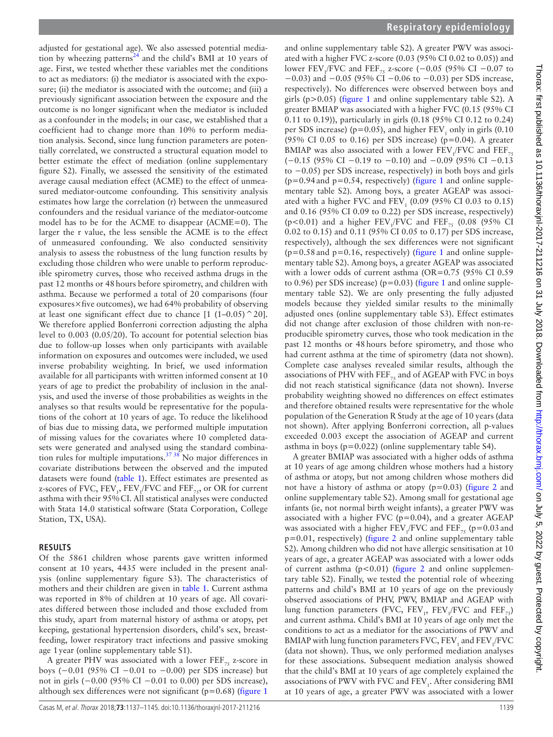adjusted for gestational age). We also assessed potential mediation by wheezing patterns<sup>24</sup> and the child's BMI at 10 years of age. First, we tested whether these variables met the conditions to act as mediators: (i) the mediator is associated with the exposure; (ii) the mediator is associated with the outcome; and (iii) a previously significant association between the exposure and the outcome is no longer significant when the mediator is included as a confounder in the models; in our case, we established that a coefficient had to change more than 10% to perform mediation analysis. Second, since lung function parameters are potentially correlated, we constructed a structural equation model to better estimate the effect of mediation (online [supplementary](https://dx.doi.org/10.1136/thoraxjnl-2017-211216)  [figure S2\)](https://dx.doi.org/10.1136/thoraxjnl-2017-211216). Finally, we assessed the sensitivity of the estimated average causal mediation effect (ACME) to the effect of unmeasured mediator-outcome confounding. This sensitivity analysis estimates how large the correlation (r) between the unmeasured confounders and the residual variance of the mediator-outcome model has to be for the ACME to disappear (ACME=0). The larger the r value, the less sensible the ACME is to the effect of unmeasured confounding. We also conducted sensitivity analysis to assess the robustness of the lung function results by excluding those children who were unable to perform reproducible spirometry curves, those who received asthma drugs in the past 12 months or 48hours before spirometry, and children with asthma. Because we performed a total of 20 comparisons (four exposures×five outcomes), we had 64% probability of observing at least one significant effect due to chance  $[1 (1-0.05)^{\wedge}20]$ . We therefore applied Bonferroni correction adjusting the alpha level to 0.003 (0.05/20). To account for potential selection bias due to follow-up losses when only participants with available information on exposures and outcomes were included, we used inverse probability weighting. In brief, we used information available for all participants with written informed consent at 10 years of age to predict the probability of inclusion in the analysis, and used the inverse of those probabilities as weights in the analyses so that results would be representative for the populations of the cohort at 10 years of age. To reduce the likelihood of bias due to missing data, we performed multiple imputation of missing values for the covariates where 10 completed datasets were generated and analysed using the standard combination rules for multiple imputations. $3738$  No major differences in covariate distributions between the observed and the imputed datasets were found [\(table](#page-3-0) 1). Effect estimates are presented as z-scores of FVC,  $\text{FEV}_1$ ,  $\text{FEV}_1/\text{FVC}$  and  $\text{FEF}_{75}$ , or OR for current asthma with their 95%CI. All statistical analyses were conducted with Stata 14.0 statistical software (Stata Corporation, College Station, TX, USA).

### **Results**

Of the 5861 children whose parents gave written informed consent at 10 years, 4435 were included in the present analysis (online [supplementary figure S3](https://dx.doi.org/10.1136/thoraxjnl-2017-211216)). The characteristics of mothers and their children are given in [table](#page-3-0) 1. Current asthma was reported in 8% of children at 10 years of age. All covariates differed between those included and those excluded from this study, apart from maternal history of asthma or atopy, pet keeping, gestational hypertension disorders, child's sex, breastfeeding, lower respiratory tract infections and passive smoking age 1year (online [supplementary table S1\)](https://dx.doi.org/10.1136/thoraxjnl-2017-211216).

A greater PHV was associated with a lower  $FEF_{75}$  z-score in boys ( $-0.01$  (95% CI  $-0.01$  to  $-0.00$ ) per SDS increase) but not in girls (−0.00 (95% CI −0.01 to 0.00) per SDS increase), although sex differences were not significant ( $p=0.68$ ) [\(figure](#page-4-0) 1

### **Respiratory epidemiology**

and online [supplementary table S2\)](https://dx.doi.org/10.1136/thoraxjnl-2017-211216). A greater PWV was associated with a higher FVC z-score (0.03 (95% CI 0.02 to 0.05)) and lower FEV<sub>1</sub>/FVC and FEF<sub>75</sub> z-score (−0.05 (95% CI −0.07 to −0.03) and −0.05 (95% CI −0.06 to −0.03) per SDS increase, respectively). No differences were observed between boys and girls ( $p > 0.05$ ) [\(figure](#page-4-0) 1 and online [supplementary table S2\)](https://dx.doi.org/10.1136/thoraxjnl-2017-211216). A greater BMIAP was associated with a higher FVC (0.15 (95% CI 0.11 to 0.19)), particularly in girls (0.18 (95% CI 0.12 to 0.24) per SDS increase) ( $p=0.05$ ), and higher  $FEV_1$  only in girls (0.10 (95% CI 0.05 to 0.16) per SDS increase) ( $p=0.04$ ). A greater BMIAP was also associated with a lower  $\text{FEV}_1/\text{FVC}$  and  $\text{FEF}_{75}$ (−0.15 (95% CI −0.19 to −0.10) and −0.09 (95% CI −0.13 to −0.05) per SDS increase, respectively) in both boys and girls  $(p=0.94$  and  $p=0.54$ , respectively) ([figure](#page-4-0) 1 and online [supple](https://dx.doi.org/10.1136/thoraxjnl-2017-211216)[mentary table S2\)](https://dx.doi.org/10.1136/thoraxjnl-2017-211216). Among boys, a greater AGEAP was associated with a higher FVC and  $FEV_1$  (0.09 (95% CI 0.03 to 0.15) and 0.16 (95% CI 0.09 to 0.22) per SDS increase, respectively) (p<0.01) and a higher  $FEV_1/FVC$  and  $FEF_{75}$  (0.08 (95% CI 0.02 to 0.15) and 0.11 (95% CI 0.05 to 0.17) per SDS increase, respectively), although the sex differences were not significant  $(p=0.58$  and  $p=0.16$ , respectively) ([figure](#page-4-0) 1 and online [supple](https://dx.doi.org/10.1136/thoraxjnl-2017-211216)[mentary table S2\)](https://dx.doi.org/10.1136/thoraxjnl-2017-211216). Among boys, a greater AGEAP was associated with a lower odds of current asthma (OR=0.75 (95% CI 0.59 to 0.96) per SDS increase) ( $p=0.03$ ) [\(figure](#page-4-0) 1 and online [supple](https://dx.doi.org/10.1136/thoraxjnl-2017-211216)[mentary table S2](https://dx.doi.org/10.1136/thoraxjnl-2017-211216)). We are only presenting the fully adjusted models because they yielded similar results to the minimally adjusted ones (online [supplementary table S3\)](https://dx.doi.org/10.1136/thoraxjnl-2017-211216). Effect estimates did not change after exclusion of those children with non-reproducible spirometry curves, those who took medication in the past 12 months or 48hours before spirometry, and those who had current asthma at the time of spirometry (data not shown). Complete case analyses revealed similar results, although the associations of PHV with  $\overline{FEF}_{75}$  and of AGEAP with FVC in boys did not reach statistical significance (data not shown). Inverse probability weighting showed no differences on effect estimates and therefore obtained results were representative for the whole population of the Generation R Study at the age of 10 years (data not shown). After applying Bonferroni correction, all p*-*values exceeded 0.003 except the association of AGEAP and current asthma in boys ( $p=0.022$ ) (online [supplementary table S4](https://dx.doi.org/10.1136/thoraxjnl-2017-211216)).

A greater BMIAP was associated with a higher odds of asthma at 10 years of age among children whose mothers had a history of asthma or atopy, but not among children whose mothers did not have a history of asthma or atopy  $(p=0.03)$  [\(figure](#page-5-0) 2 and online [supplementary table S2\)](https://dx.doi.org/10.1136/thoraxjnl-2017-211216). Among small for gestational age infants (ie, not normal birth weight infants), a greater PWV was associated with a higher FVC ( $p=0.04$ ), and a greater AGEAP was associated with a higher  $FEV_1/FVC$  and  $FEF_{75}$  (p=0.03 and p=0.01, respectively) ([figure](#page-5-0) 2 and online [supplementary table](https://dx.doi.org/10.1136/thoraxjnl-2017-211216) [S2](https://dx.doi.org/10.1136/thoraxjnl-2017-211216)). Among children who did not have allergic sensitisation at 10 years of age, a greater AGEAP was associated with a lower odds of current asthma  $(p<0.01)$  ([figure](#page-5-0) 2 and online [supplemen](https://dx.doi.org/10.1136/thoraxjnl-2017-211216)[tary table S2](https://dx.doi.org/10.1136/thoraxjnl-2017-211216)). Finally, we tested the potential role of wheezing patterns and child's BMI at 10 years of age on the previously observed associations of PHV, PWV, BMIAP and AGEAP with lung function parameters (FVC,  $FEV_1$ ,  $FEV_1/FVC$  and  $FEF_{75}$ ) and current asthma. Child's BMI at 10 years of age only met the conditions to act as a mediator for the associations of PWV and BMIAP with lung function parameters FVC,  $\rm{FEV}_1$  and  $\rm{FEV}_1/\rm{FVC}$ (data not shown). Thus, we only performed mediation analyses for these associations. Subsequent mediation analysis showed that the child's BMI at 10 years of age completely explained the associations of PWV with FVC and  $\text{FEV}_1$ . After considering BMI at 10 years of age, a greater PWV was associated with a lower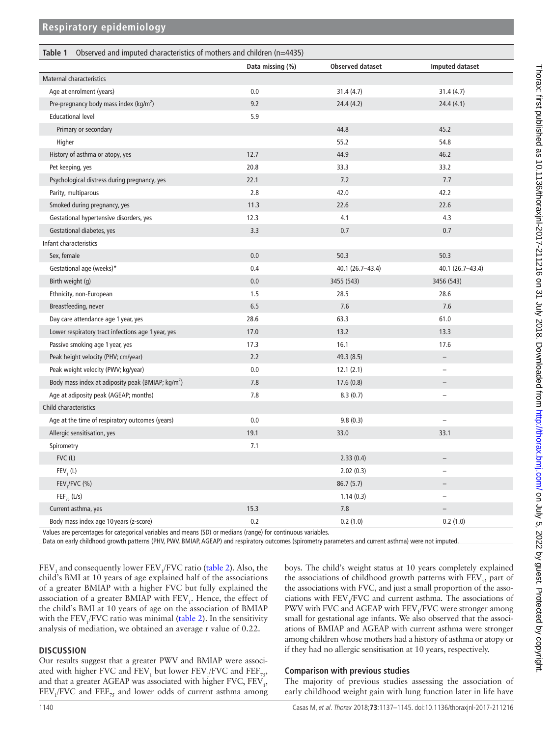Ξ

# **Respiratory epidemiology**

<span id="page-3-0"></span>

| Table 1<br>Observed and imputed characteristics of mothers and children (n=4435) |                  |                         |                          |  |
|----------------------------------------------------------------------------------|------------------|-------------------------|--------------------------|--|
|                                                                                  | Data missing (%) | <b>Observed dataset</b> | Imputed dataset          |  |
| Maternal characteristics                                                         |                  |                         |                          |  |
| Age at enrolment (years)                                                         | 0.0              | 31.4(4.7)               | 31.4(4.7)                |  |
| Pre-pregnancy body mass index ( $kg/m2$ )                                        | 9.2              | 24.4 (4.2)              | 24.4(4.1)                |  |
| <b>Educational level</b>                                                         | 5.9              |                         |                          |  |
| Primary or secondary                                                             |                  | 44.8                    | 45.2                     |  |
| Higher                                                                           |                  | 55.2                    | 54.8                     |  |
| History of asthma or atopy, yes                                                  | 12.7             | 44.9                    | 46.2                     |  |
| Pet keeping, yes                                                                 | 20.8             | 33.3                    | 33.2                     |  |
| Psychological distress during pregnancy, yes                                     | 22.1             | 7.2                     | 7.7                      |  |
| Parity, multiparous                                                              | 2.8              | 42.0                    | 42.2                     |  |
| Smoked during pregnancy, yes                                                     | 11.3             | 22.6                    | 22.6                     |  |
| Gestational hypertensive disorders, yes                                          | 12.3             | 4.1                     | 4.3                      |  |
| Gestational diabetes, yes                                                        | 3.3              | 0.7                     | 0.7                      |  |
| Infant characteristics                                                           |                  |                         |                          |  |
| Sex, female                                                                      | 0.0              | 50.3                    | 50.3                     |  |
| Gestational age (weeks)*                                                         | 0.4              | 40.1 (26.7-43.4)        | 40.1 (26.7-43.4)         |  |
| Birth weight (g)                                                                 | 0.0              | 3455 (543)              | 3456 (543)               |  |
| Ethnicity, non-European                                                          | 1.5              | 28.5                    | 28.6                     |  |
| Breastfeeding, never                                                             | 6.5              | 7.6                     | 7.6                      |  |
| Day care attendance age 1 year, yes                                              | 28.6             | 63.3                    | 61.0                     |  |
| Lower respiratory tract infections age 1 year, yes                               | 17.0             | 13.2                    | 13.3                     |  |
| Passive smoking age 1 year, yes                                                  | 17.3             | 16.1                    | 17.6                     |  |
| Peak height velocity (PHV; cm/year)                                              | 2.2              | 49.3(8.5)               |                          |  |
| Peak weight velocity (PWV; kg/year)                                              | 0.0              | 12.1(2.1)               | $\overline{\phantom{0}}$ |  |
| Body mass index at adiposity peak (BMIAP; kg/m <sup>2</sup> )                    | 7.8              | 17.6(0.8)               |                          |  |
| Age at adiposity peak (AGEAP; months)                                            | 7.8              | 8.3(0.7)                | $\overline{\phantom{0}}$ |  |
| Child characteristics                                                            |                  |                         |                          |  |
| Age at the time of respiratory outcomes (years)                                  | 0.0              | 9.8(0.3)                | $\overline{\phantom{0}}$ |  |
| Allergic sensitisation, yes                                                      | 19.1             | 33.0                    | 33.1                     |  |
| Spirometry                                                                       | 7.1              |                         |                          |  |
| $FVC$ (L)                                                                        |                  | 2.33(0.4)               | $-$                      |  |
| FEV, (L)                                                                         |                  | 2.02(0.3)               | $\overline{\phantom{0}}$ |  |
| FEV <sub>1</sub> /FVC (%)                                                        |                  | 86.7(5.7)               | $\overline{\phantom{0}}$ |  |
| $FEF_{75}$ (L/s)                                                                 |                  | 1.14(0.3)               | $\overline{\phantom{0}}$ |  |
| Current asthma, yes                                                              | 15.3             | 7.8                     |                          |  |
| Body mass index age 10 years (z-score)                                           | 0.2              | 0.2(1.0)                | 0.2(1.0)                 |  |

Values are percentages for categorical variables and means (SD) or medians (range) for continuous variables.

Data on early childhood growth patterns (PHV, PWV, BMIAP, AGEAP) and respiratory outcomes (spirometry parameters and current asthma) were not imputed.

 $\text{FEV}_1$  and consequently lower  $\text{FEV}_1/\text{FVC}$  ratio [\(table](#page-5-1) 2). Also, the child's BMI at 10 years of age explained half of the associations of a greater BMIAP with a higher FVC but fully explained the association of a greater BMIAP with  $FEV<sub>1</sub>$ . Hence, the effect of the child's BMI at 10 years of age on the association of BMIAP with the  $\text{FEV}_1/\text{FVC}$  ratio was minimal [\(table](#page-5-1) 2). In the sensitivity analysis of mediation, we obtained an average r value of 0.22.

### **Discussion**

Our results suggest that a greater PWV and BMIAP were associated with higher FVC and  $\text{FEV}_1$  but lower  $\text{FEV}_1/\text{FVC}$  and  $\text{FEF}_{75}$ , and that a greater AGEAP was associated with higher FVC,  $FEV_1$ ,  $FEV<sub>1</sub>/FVC$  and  $FEF<sub>75</sub>$  and lower odds of current asthma among

### boys. The child's weight status at 10 years completely explained the associations of childhood growth patterns with FEV<sub>1</sub>, part of the associations with FVC, and just a small proportion of the associations with  $FEV_1/FVC$  and current asthma. The associations of PWV with FVC and AGEAP with FEV<sub>1</sub>/FVC were stronger among small for gestational age infants. We also observed that the associations of BMIAP and AGEAP with current asthma were stronger among children whose mothers had a history of asthma or atopy or if they had no allergic sensitisation at 10 years, respectively.

### **Comparison with previous studies**

The majority of previous studies assessing the association of early childhood weight gain with lung function later in life have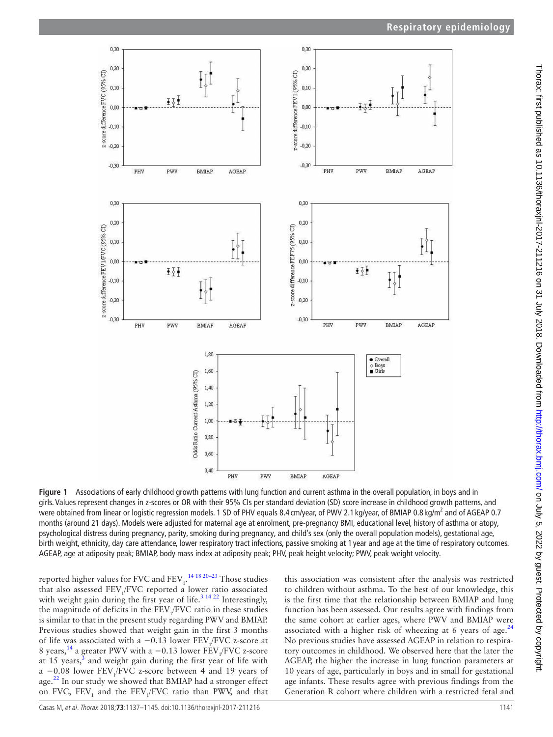

Thorax: first published as 10.1136/thoraxjnl-2017-211216 on 31 July 2018. Downloaded from http://thorax.bmj.com/ on July 5, 2022 by guest. Protected by copyright on July 5, 2022 by guest. Protected by copyright. <http://thorax.bmj.com/> Thorax: first published as 10.1136/thoraxjnl-2017-211216 on 31 July 2018. Downloaded from

<span id="page-4-0"></span>**Figure 1** Associations of early childhood growth patterns with lung function and current asthma in the overall population, in boys and in girls. Values represent changes in z-scores or OR with their 95% CIs per standard deviation (SD) score increase in childhood growth patterns, and were obtained from linear or logistic regression models. 1 SD of PHV equals 8.4 cm/year, of PWV 2.1 kg/year, of BMIAP 0.8 kg/m<sup>2</sup> and of AGEAP 0.7 months (around 21 days). Models were adjusted for maternal age at enrolment, pre-pregnancy BMI, educational level, history of asthma or atopy, psychological distress during pregnancy, parity, smoking during pregnancy, and child's sex (only the overall population models), gestational age, birth weight, ethnicity, day care attendance, lower respiratory tract infections, passive smoking at 1 year and age at the time of respiratory outcomes. AGEAP, age at adiposity peak; BMIAP, body mass index at adiposity peak; PHV, peak height velocity; PWV, peak weight velocity.

reported higher values for FVC and  $\text{FEV}_1$ .<sup>14 18 20–23</sup> Those studies that also assessed  $\text{FEV}_1/\text{FVC}$  reported a lower ratio associated with weight gain during the first year of life.<sup>[3 14 22](#page-7-3)</sup> Interestingly, the magnitude of deficits in the  $\text{FEV}_1/\text{FVC}$  ratio in these studies is similar to that in the present study regarding PWV and BMIAP. Previous studies showed that weight gain in the first 3 months of life was associated with a  $-0.13$  lower FEV<sub>1</sub>/FVC z-score at 8 years,<sup>[14](#page-7-4)</sup> a greater PWV with a  $-0.13$  lower FEV<sub>1</sub>/FVC z-score at 15 years, $3$  and weight gain during the first year of life with a  $-0.08$  lower FEV<sub>1</sub>/FVC z-score between 4 and 19 years of age.<sup>22</sup> In our study we showed that BMIAP had a stronger effect on FVC,  $FEV_1$  and the  $FEV_1/FVC$  ratio than PWV, and that

this association was consistent after the analysis was restricted to children without asthma. To the best of our knowledge, this is the first time that the relationship between BMIAP and lung function has been assessed. Our results agree with findings from the same cohort at earlier ages, where PWV and BMIAP were associated with a higher risk of wheezing at 6 years of age. $^{24}$  $^{24}$  $^{24}$ No previous studies have assessed AGEAP in relation to respiratory outcomes in childhood. We observed here that the later the AGEAP, the higher the increase in lung function parameters at 10 years of age, particularly in boys and in small for gestational age infants. These results agree with previous findings from the Generation R cohort where children with a restricted fetal and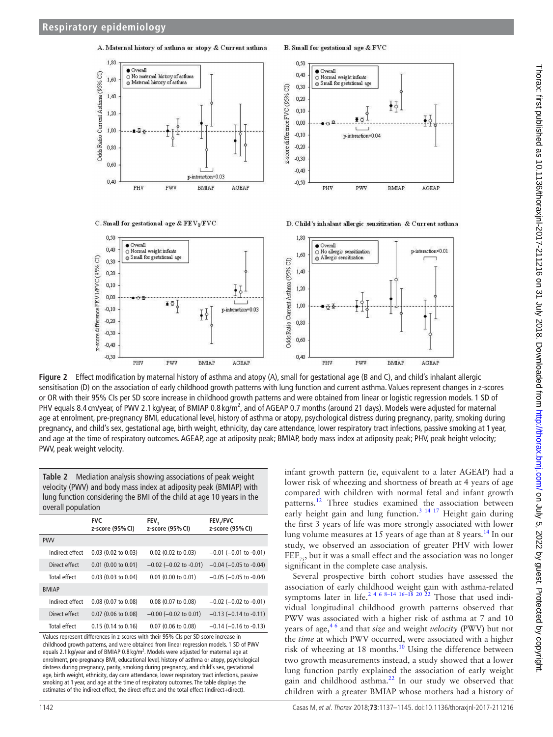



B. Small for gestational age & FVC



C. Small for gestational age & FEV1/FVC

D. Child's inhalant allergic sensitization & Current asthma



<span id="page-5-0"></span>**Figure 2** Effect modification by maternal history of asthma and atopy (A), small for gestational age (B and C), and child's inhalant allergic sensitisation (D) on the association of early childhood growth patterns with lung function and current asthma. Values represent changes in z-scores or OR with their 95% CIs per SD score increase in childhood growth patterns and were obtained from linear or logistic regression models. 1 SD of PHV equals 8.4 cm/year, of PWV 2.1 kg/year, of BMIAP 0.8 kg/m<sup>2</sup>, and of AGEAP 0.7 months (around 21 days). Models were adjusted for maternal age at enrolment, pre-pregnancy BMI, educational level, history of asthma or atopy, psychological distress during pregnancy, parity, smoking during pregnancy, and child's sex, gestational age, birth weight, ethnicity, day care attendance, lower respiratory tract infections, passive smoking at 1 year, and age at the time of respiratory outcomes. AGEAP, age at adiposity peak; BMIAP, body mass index at adiposity peak; PHV, peak height velocity; PWV, peak weight velocity.

<span id="page-5-1"></span>**Table 2** Mediation analysis showing associations of peak weight velocity (PWV) and body mass index at adiposity peak (BMIAP) with lung function considering the BMI of the child at age 10 years in the overall population

|                 | <b>FVC</b><br>z-score (95% CI) | FEV,<br>z-score $(95%$ CI)     | FEV,/FVC<br>z-score (95% CI)   |
|-----------------|--------------------------------|--------------------------------|--------------------------------|
| <b>PWV</b>      |                                |                                |                                |
| Indirect effect | $0.03$ (0.02 to 0.03)          | 0.02 (0.02 to 0.03)            | $-0.01$ ( $-0.01$ to $-0.01$ ) |
| Direct effect   | $0.01$ (0.00 to 0.01)          | $-0.02$ ( $-0.02$ to $-0.01$ ) | $-0.04$ ( $-0.05$ to $-0.04$ ) |
| Total effect    | $0.03$ (0.03 to 0.04)          | $0.01$ (0.00 to 0.01)          | $-0.05$ ( $-0.05$ to $-0.04$ ) |
| <b>BMIAP</b>    |                                |                                |                                |
| Indirect effect | 0.08 (0.07 to 0.08)            | 0.08 (0.07 to 0.08)            | $-0.02$ ( $-0.02$ to $-0.01$ ) |
| Direct effect   | $0.07$ (0.06 to 0.08)          | $-0.00$ ( $-0.02$ to 0.01)     | $-0.13$ ( $-0.14$ to $-0.11$ ) |
| Total effect    | $0.15(0.14 \text{ to } 0.16)$  | 0.07 (0.06 to 0.08)            | $-0.14$ ( $-0.16$ to $-0.13$ ) |

Values represent differences in z-scores with their 95% CIs per SD score increase in childhood growth patterns, and were obtained from linear regression models. 1 SD of PWV equals 2.1 kg/year and of BMIAP 0.8 kg/m<sup>2</sup>. Models were adjusted for maternal age at enrolment, pre-pregnancy BMI, educational level, history of asthma or atopy, psychological distress during pregnancy, parity, smoking during pregnancy, and child's sex, gestational age, birth weight, ethnicity, day care attendance, lower respiratory tract infections, passive smoking at 1 year, and age at the time of respiratory outcomes. The table displays the estimates of the indirect effect, the direct effect and the total effect (indirect+direct).

infant growth pattern (ie, equivalent to a later AGEAP) had a lower risk of wheezing and shortness of breath at 4 years of age compared with children with normal fetal and infant growth patterns.[12](#page-7-9) Three studies examined the association between early height gain and lung function.<sup>3 14 17</sup> Height gain during the first 3 years of life was more strongly associated with lower lung volume measures at 15 years of age than at 8 years.<sup>[14](#page-7-4)</sup> In our study, we observed an association of greater PHV with lower  $FEF<sub>55</sub>$ , but it was a small effect and the association was no longer significant in the complete case analysis.

Several prospective birth cohort studies have assessed the association of early childhood weight gain with asthma-related symptoms later in life.<sup>[2 4 6 8–14 16–18 20 22](#page-7-1)</sup> Those that used individual longitudinal childhood growth patterns observed that PWV was associated with a higher risk of asthma at 7 and 10 years of age[,4 6](#page-7-10) and that *size* and weight *velocity* (PWV) but not the *time* at which PWV occurred, were associated with a higher risk of wheezing at 18 months. $10$  Using the difference between two growth measurements instead, a study showed that a lower lung function partly explained the association of early weight gain and childhood asthma. $22$  In our study we observed that children with a greater BMIAP whose mothers had a history of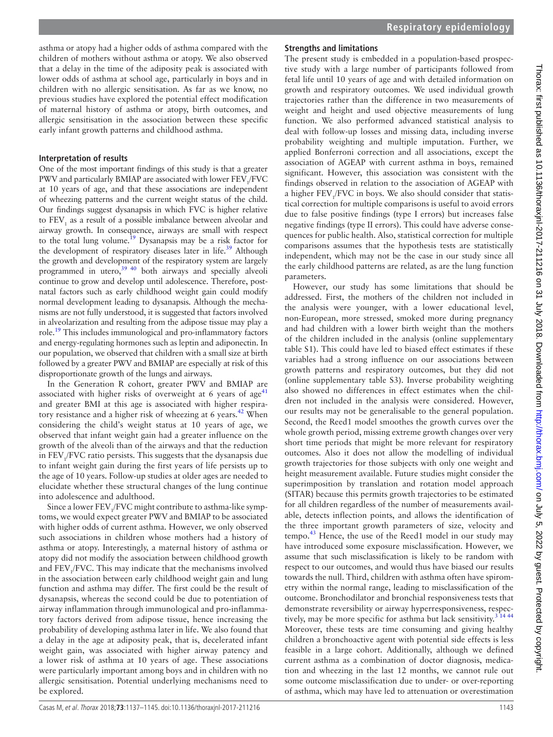asthma or atopy had a higher odds of asthma compared with the children of mothers without asthma or atopy. We also observed that a delay in the time of the adiposity peak is associated with lower odds of asthma at school age, particularly in boys and in children with no allergic sensitisation. As far as we know, no previous studies have explored the potential effect modification of maternal history of asthma or atopy, birth outcomes, and allergic sensitisation in the association between these specific early infant growth patterns and childhood asthma.

### **Interpretation of results**

One of the most important findings of this study is that a greater PWV and particularly BMIAP are associated with lower  $\mathrm{FEV}_1/\mathrm{FVC}$ at 10 years of age, and that these associations are independent of wheezing patterns and the current weight status of the child. Our findings suggest dysanapsis in which FVC is higher relative to  $\text{FEV}_1$  as a result of a possible imbalance between alveolar and airway growth. In consequence, airways are small with respect to the total lung volume.[19](#page-7-2) Dysanapsis may be a risk factor for the development of respiratory diseases later in life.<sup>39</sup> Although the growth and development of the respiratory system are largely programmed in utero, $39\frac{40}{10}$  both airways and specially alveoli continue to grow and develop until adolescence. Therefore, postnatal factors such as early childhood weight gain could modify normal development leading to dysanapsis. Although the mechanisms are not fully understood, it is suggested that factors involved in alveolarization and resulting from the adipose tissue may play a role[.19](#page-7-2) This includes immunological and pro-inflammatory factors and energy-regulating hormones such as leptin and adiponectin. In our population, we observed that children with a small size at birth followed by a greater PWV and BMIAP are especially at risk of this disproportionate growth of the lungs and airways.

In the Generation R cohort, greater PWV and BMIAP are associated with higher risks of overweight at 6 years of  $age<sup>41</sup>$  $age<sup>41</sup>$  $age<sup>41</sup>$ and greater BMI at this age is associated with higher respiratory resistance and a higher risk of wheezing at 6 years. $42$  When considering the child's weight status at 10 years of age, we observed that infant weight gain had a greater influence on the growth of the alveoli than of the airways and that the reduction in FEV<sub>1</sub>/FVC ratio persists. This suggests that the dysanapsis due to infant weight gain during the first years of life persists up to the age of 10 years. Follow-up studies at older ages are needed to elucidate whether these structural changes of the lung continue into adolescence and adulthood.

Since a lower  $\text{FEV}_1/\text{FVC}$  might contribute to asthma-like symptoms, we would expect greater PWV and BMIAP to be associated with higher odds of current asthma. However, we only observed such associations in children whose mothers had a history of asthma or atopy. Interestingly, a maternal history of asthma or atopy did not modify the association between childhood growth and  $FEV_1/FVC$ . This may indicate that the mechanisms involved in the association between early childhood weight gain and lung function and asthma may differ. The first could be the result of dysanapsis, whereas the second could be due to potentiation of airway inflammation through immunological and pro-inflammatory factors derived from adipose tissue, hence increasing the probability of developing asthma later in life. We also found that a delay in the age at adiposity peak, that is, decelerated infant weight gain, was associated with higher airway patency and a lower risk of asthma at 10 years of age. These associations were particularly important among boys and in children with no allergic sensitisation. Potential underlying mechanisms need to be explored.

# **Strengths and limitations**

The present study is embedded in a population-based prospective study with a large number of participants followed from fetal life until 10 years of age and with detailed information on growth and respiratory outcomes. We used individual growth trajectories rather than the difference in two measurements of weight and height and used objective measurements of lung function. We also performed advanced statistical analysis to deal with follow-up losses and missing data, including inverse probability weighting and multiple imputation. Further, we applied Bonferroni correction and all associations, except the association of AGEAP with current asthma in boys, remained significant. However, this association was consistent with the findings observed in relation to the association of AGEAP with a higher  $\text{FEV}_1/\text{FVC}$  in boys. We also should consider that statistical correction for multiple comparisons is useful to avoid errors due to false positive findings (type I errors) but increases false negative findings (type II errors). This could have adverse consequences for public health. Also, statistical correction for multiple comparisons assumes that the hypothesis tests are statistically independent, which may not be the case in our study since all the early childhood patterns are related, as are the lung function parameters.

**Respiratory epidemiology**

However, our study has some limitations that should be addressed. First, the mothers of the children not included in the analysis were younger, with a lower educational level, non-European, more stressed, smoked more during pregnancy and had children with a lower birth weight than the mothers of the children included in the analysis (online [supplementary](https://dx.doi.org/10.1136/thoraxjnl-2017-211216) [table S1\)](https://dx.doi.org/10.1136/thoraxjnl-2017-211216). This could have led to biased effect estimates if these variables had a strong influence on our associations between growth patterns and respiratory outcomes, but they did not (online [supplementary table S3](https://dx.doi.org/10.1136/thoraxjnl-2017-211216)). Inverse probability weighting also showed no differences in effect estimates when the children not included in the analysis were considered. However, our results may not be generalisable to the general population. Second, the Reed1 model smoothes the growth curves over the whole growth period, missing extreme growth changes over very short time periods that might be more relevant for respiratory outcomes. Also it does not allow the modelling of individual growth trajectories for those subjects with only one weight and height measurement available. Future studies might consider the superimposition by translation and rotation model approach (SITAR) because this permits growth trajectories to be estimated for all children regardless of the number of measurements available, detects inflection points, and allows the identification of the three important growth parameters of size, velocity and tempo. $43$  Hence, the use of the Reed1 model in our study may have introduced some exposure misclassification. However, we assume that such misclassification is likely to be random with respect to our outcomes, and would thus have biased our results towards the null. Third, children with asthma often have spirometry within the normal range, leading to misclassification of the outcome. Bronchodilator and bronchial responsiveness tests that demonstrate reversibility or airway hyperresponsiveness, respectively, may be more specific for asthma but lack sensitivity.<sup>3 14 44</sup> Moreover, these tests are time consuming and giving healthy children a bronchoactive agent with potential side effects is less feasible in a large cohort. Additionally, although we defined current asthma as a combination of doctor diagnosis, medication and wheezing in the last 12 months, we cannot rule out some outcome misclassification due to under- or over-reporting of asthma, which may have led to attenuation or overestimation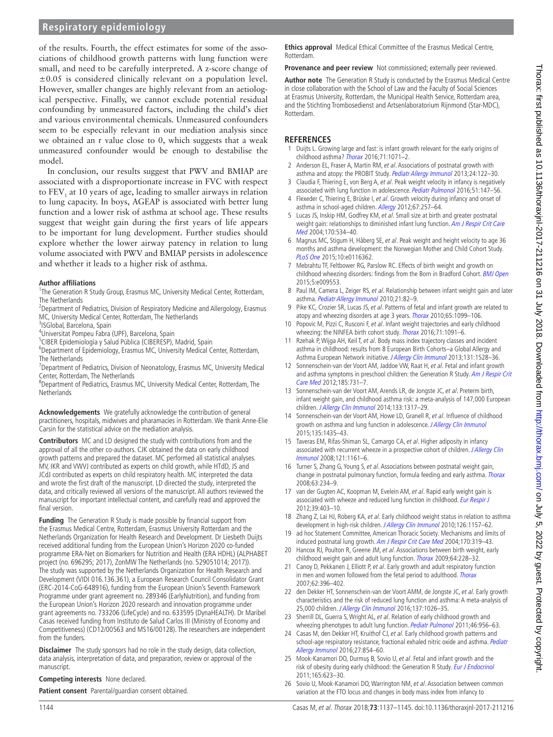# Thorax: first published as 10.1136/thoraxjnl-2017-211216 on 31 July 2018. Downloaded from http://thorax.bmj.com/ on July 5, 2022 by guest. Protected by copyright on July 5, 2022 by guest. Protected by copyright. <http://thorax.bmj.com/> Thorax: first published as 10.1136/thoraxjnl-2017-211216 on 31 July 2018. Downloaded from

### **Respiratory epidemiology**

of the results. Fourth, the effect estimates for some of the associations of childhood growth patterns with lung function were small, and need to be carefully interpreted. A z-score change of  $\pm 0.05$  is considered clinically relevant on a population level. However, smaller changes are highly relevant from an aetiological perspective. Finally, we cannot exclude potential residual confounding by unmeasured factors, including the child's diet and various environmental chemicals. Unmeasured confounders seem to be especially relevant in our mediation analysis since we obtained an r value close to 0, which suggests that a weak unmeasured confounder would be enough to destabilise the model.

In conclusion, our results suggest that PWV and BMIAP are associated with a disproportionate increase in FVC with respect to  $\text{FEV}_1$  at 10 years of age, leading to smaller airways in relation to lung capacity. In boys, AGEAP is associated with better lung function and a lower risk of asthma at school age. These results suggest that weight gain during the first years of life appears to be important for lung development. Further studies should explore whether the lower airway patency in relation to lung volume associated with PWV and BMIAP persists in adolescence and whether it leads to a higher risk of asthma.

### **Author affiliations**

<sup>1</sup>The Generation R Study Group, Erasmus MC, University Medical Center, Rotterdam, The Netherlands

<sup>2</sup> Department of Pediatrics, Division of Respiratory Medicine and Allergology, Erasmus MC, University Medical Center, Rotterdam, The Netherlands

<sup>3</sup>ISGlobal, Barcelona, Spain

Universitat Pompeu Fabra (UPF), Barcelona, Spain

<sup>5</sup>CIBER Epidemiología y Salud Pública (CIBERESP), Madrid, Spain<br><sup>6</sup>Department of Epidemiology, Frasmus M.C. University Medical C

Department of Epidemiology, Erasmus MC, University Medical Center, Rotterdam, The Netherlands

 $7$ Department of Pediatrics, Division of Neonatology, Erasmus MC, University Medical Center, Rotterdam, The Netherlands

<sup>8</sup>Department of Pediatrics, Erasmus MC, University Medical Center, Rotterdam, The Netherlands

**Acknowledgements** We gratefully acknowledge the contribution of general practitioners, hospitals, midwives and pharamacies in Rotterdam. We thank Anne-Elie Carsin for the statistical advice on the mediation analysis.

**Contributors** MC and LD designed the study with contributions from and the approval of all the other co-authors. CJK obtained the data on early childhood growth patterns and prepared the dataset. MC performed all statistical analyses. MV, IKR and VWVJ contributed as experts on child growth, while HTdD, JS and JCdJ contributed as experts on child respiratory health. MC interpreted the data and wrote the first draft of the manuscript. LD directed the study, interpreted the data, and critically reviewed all versions of the manuscript. All authors reviewed the manuscript for important intellectual content, and carefully read and approved the final version.

**Funding** The Generation R Study is made possible by financial support from the Erasmus Medical Centre, Rotterdam, Erasmus University Rotterdam and the Netherlands Organization for Health Research and Development. Dr Liesbeth Duijts received additional funding from the European Union's Horizon 2020 co-funded programme ERA-Net on Biomarkers for Nutrition and Health (ERA HDHL) (ALPHABET project (no. 696295; 2017), ZonMW The Netherlands (no. 529051014; 2017)). The study was supported by the Netherlands Organization for Health Research and Development (VIDI 016.136.361), a European Research Council Consolidator Grant (ERC-2014-CoG-648916), funding from the European Union's Seventh Framework Programme under grant agreement no. 289346 (EarlyNutrition), and funding from the European Union's Horizon 2020 research and innovation programme under grant agreements no. 733206 (LifeCycle) and no. 633595 (DynaHEALTH). Dr Maribel Casas received funding from Instituto de Salud Carlos III (Ministry of Economy and Competitiveness) (CD12/00563 and MS16/00128). The researchers are independent from the funders.

**Disclaimer** The study sponsors had no role in the study design, data collection, data analysis, interpretation of data, and preparation, review or approval of the manuscript.

### **Competing interests** None declared.

**Patient consent** Parental/guardian consent obtained.

**Ethics approval** Medical Ethical Committee of the Erasmus Medical Centre, Rotterdam.

**Provenance and peer review** Not commissioned; externally peer reviewed.

**Author note** The Generation R Study is conducted by the Erasmus Medical Centre in close collaboration with the School of Law and the Faculty of Social Sciences at Erasmus University, Rotterdam, the Municipal Health Service, Rotterdam area, and the Stichting Trombosedienst and Artsenlaboratorium Rijnmond (Star-MDC), Rotterdam.

### **References**

- <span id="page-7-0"></span>1 Duijts L. Growing large and fast: is infant growth relevant for the early origins of childhood asthma? [Thorax](http://dx.doi.org/10.1136/thoraxjnl-2016-209061) 2016;71:1071-2.
- <span id="page-7-1"></span>2 Anderson EL, Fraser A, Martin RM, et al. Associations of postnatal growth with asthma and atopy: the PROBIT Study. [Pediatr Allergy Immunol](http://dx.doi.org/10.1111/pai.12049) 2013;24:122-30.
- <span id="page-7-3"></span>Claudia F, Thiering E, von Berg A, et al. Peak weight velocity in infancy is negatively associated with lung function in adolescence. [Pediatr Pulmonol](http://dx.doi.org/10.1002/ppul.23216) 2016;51:147-56.
- <span id="page-7-10"></span>4 Flexeder C, Thiering E, Brüske I, et al. Growth velocity during infancy and onset of asthma in school-aged children. [Allergy](http://dx.doi.org/10.1111/j.1398-9995.2011.02748.x) 2012;67:257–64.
- 5 Lucas JS, Inskip HM, Godfrey KM, et al. Small size at birth and greater postnatal weight gain: relationships to diminished infant lung function. Am J Respir Crit Care [Med](http://dx.doi.org/10.1164/rccm.200311-1583OC) 2004;170:534–40.
- 6 Magnus MC, Stigum H, Håberg SE, et al. Peak weight and height velocity to age 36 months and asthma development: the Norwegian Mother and Child Cohort Study. [PLoS One](http://dx.doi.org/10.1371/journal.pone.0116362) 2015;10:e0116362.
- 7 Mebrahtu TF, Feltbower RG, Parslow RC. Effects of birth weight and growth on childhood wheezing disorders: findings from the Born in Bradford Cohort. **[BMJ Open](http://dx.doi.org/10.1136/bmjopen-2015-009553)** 2015;5:e009553.
- 8 Paul IM, Camera L, Zeiger RS, et al. Relationship between infant weight gain and later asthma. [Pediatr Allergy Immunol](http://dx.doi.org/10.1111/j.1399-3038.2009.00926.x) 2010;21:82–9.
- 9 Pike KC, Crozier SR, Lucas JS, et al. Patterns of fetal and infant growth are related to atopy and wheezing disorders at age 3 years. [Thorax](http://dx.doi.org/10.1136/thx.2010.134742) 2010;65:1099-106.
- <span id="page-7-11"></span>10 Popovic M, Pizzi C, Rusconi F, et al. Infant weight trajectories and early childhood wheezing: the NINFEA birth cohort study. [Thorax](http://dx.doi.org/10.1136/thoraxjnl-2015-208208) 2016;71:1091-6.
- 11 Rzehak P, Wijga AH, Keil T, et al. Body mass index trajectory classes and incident asthma in childhood: results from 8 European Birth Cohorts–a Global Allergy and Asthma European Network initiative. [J Allergy Clin Immunol](http://dx.doi.org/10.1016/j.jaci.2013.01.001) 2013;131:1528-36.
- <span id="page-7-9"></span>12 Sonnenschein-van der Voort AM, Jaddoe VW, Raat H, et al. Fetal and infant growth and asthma symptoms in preschool children: the Generation R Study. Am J Respir Crit [Care Med](http://dx.doi.org/10.1164/rccm.201107-1266OC) 2012;185:731–7.
- 13 Sonnenschein-van der Voort AM, Arends LR, de Jongste JC, et al. Preterm birth, infant weight gain, and childhood asthma risk: a meta-analysis of 147,000 European children. [J Allergy Clin Immunol](http://dx.doi.org/10.1016/j.jaci.2013.12.1082) 2014;133:1317-29.
- <span id="page-7-4"></span>14 Sonnenschein-van der Voort AM, Howe LD, Granell R, et al. Influence of childhood growth on asthma and lung function in adolescence. [J Allergy Clin Immunol](http://dx.doi.org/10.1016/j.jaci.2014.10.046) 2015;135:1435–43.
- 15 Taveras EM, Rifas-Shiman SL, Camargo CA, et al. Higher adiposity in infancy associated with recurrent wheeze in a prospective cohort of children. J Allergy Clin [Immunol](http://dx.doi.org/10.1016/j.jaci.2008.03.021) 2008;121:1161–6.
- 16 Turner S, Zhang G, Young S, et al. Associations between postnatal weight gain, change in postnatal pulmonary function, formula feeding and early asthma. [Thorax](http://dx.doi.org/10.1136/thx.2006.064642) 2008;63:234–9.
- 17 van der Gugten AC, Koopman M, Evelein AM, et al. Rapid early weight gain is associated with wheeze and reduced lung function in childhood. [Eur Respir J](http://dx.doi.org/10.1183/09031936.00188310) 2012;39:403–10.
- 18 Zhang Z, Lai HJ, Roberg KA, et al. Early childhood weight status in relation to asthma development in high-risk children. [J Allergy Clin Immunol](http://dx.doi.org/10.1016/j.jaci.2010.09.011) 2010;126:1157-62.
- <span id="page-7-2"></span>19 ad hoc Statement Committee, American Thoracic Society. Mechanisms and limits of induced postnatal lung growth. [Am J Respir Crit Care Med](http://dx.doi.org/10.1164/rccm.200209-1062ST) 2004;170:319-43.
- 20 Hancox RJ, Poulton R, Greene JM, et al. Associations between birth weight, early childhood weight gain and adult lung function. [Thorax](http://dx.doi.org/10.1136/thx.2008.103978) 2009;64:228-32.
- 21 Canoy D, Pekkanen J, Elliott P, et al. Early growth and adult respiratory function in men and women followed from the fetal period to adulthood. [Thorax](http://dx.doi.org/10.1136/thx.2006.066241) 2007;62:396–402.
- <span id="page-7-8"></span>22 den Dekker HT, Sonnenschein-van der Voort AMM, de Jongste JC, et al. Early growth characteristics and the risk of reduced lung function and asthma: A meta-analysis of 25,000 children. [J Allergy Clin Immunol](http://dx.doi.org/10.1016/j.jaci.2015.08.050) 2016;137:1026–35.
- 23 Sherrill DL, Guerra S, Wright AL, et al. Relation of early childhood growth and wheezing phenotypes to adult lung function. [Pediatr Pulmonol](http://dx.doi.org/10.1002/ppul.21470) 2011;46:956-63.
- <span id="page-7-5"></span>24 Casas M, den Dekker HT, Kruithof CJ, et al. Early childhood growth patterns and school-age respiratory resistance, fractional exhaled nitric oxide and asthma. Pediatr [Allergy Immunol](http://dx.doi.org/10.1111/pai.12645) 2016;27:854–60.
- <span id="page-7-6"></span>25 Mook-Kanamori DO, Durmuş B, Sovio U, et al. Fetal and infant growth and the risk of obesity during early childhood: the Generation R Study. [Eur J Endocrinol](http://dx.doi.org/10.1530/EJE-11-0067) 2011;165:623–30.
- <span id="page-7-7"></span>26 Sovio U, Mook-Kanamori DO, Warrington NM, et al. Association between common variation at the FTO locus and changes in body mass index from infancy to